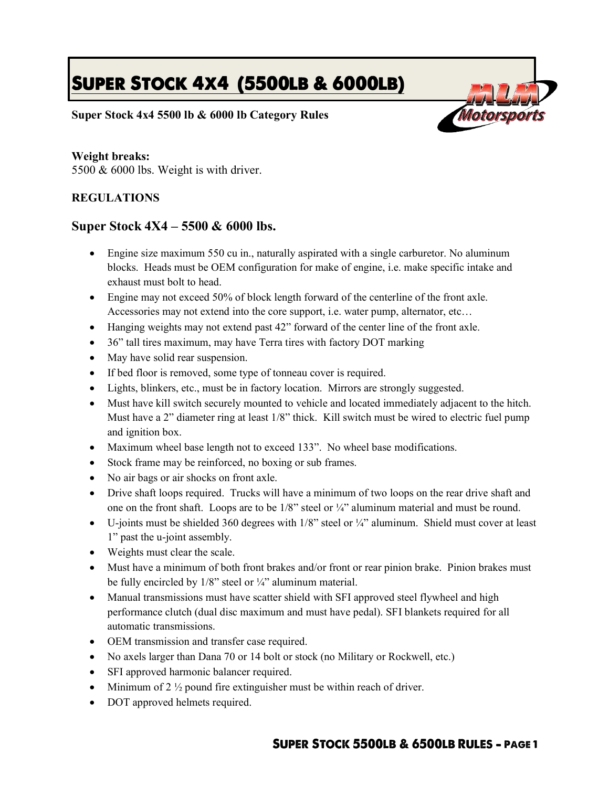## **SUPER STOCK 4X4 (5500LB & 6000LB)**

Motorso

**Super Stock 4x4 5500 lb & 6000 lb Category Rules**

## **Weight breaks:**

5500 & 6000 lbs. Weight is with driver.

## **REGULATIONS**

## **Super Stock 4X4 – 5500 & 6000 lbs.**

- Engine size maximum 550 cu in., naturally aspirated with a single carburetor. No aluminum blocks. Heads must be OEM configuration for make of engine, i.e. make specific intake and exhaust must bolt to head.
- Engine may not exceed 50% of block length forward of the centerline of the front axle. Accessories may not extend into the core support, i.e. water pump, alternator, etc…
- Hanging weights may not extend past 42" forward of the center line of the front axle.
- 36" tall tires maximum, may have Terra tires with factory DOT marking
- May have solid rear suspension.
- If bed floor is removed, some type of tonneau cover is required.
- Lights, blinkers, etc., must be in factory location. Mirrors are strongly suggested.
- Must have kill switch securely mounted to vehicle and located immediately adjacent to the hitch. Must have a 2" diameter ring at least 1/8" thick. Kill switch must be wired to electric fuel pump and ignition box.
- Maximum wheel base length not to exceed 133". No wheel base modifications.
- Stock frame may be reinforced, no boxing or sub frames.
- No air bags or air shocks on front axle.
- Drive shaft loops required. Trucks will have a minimum of two loops on the rear drive shaft and one on the front shaft. Loops are to be 1/8" steel or ¼" aluminum material and must be round.
- $\bullet$  U-joints must be shielded 360 degrees with 1/8" steel or  $\frac{1}{4}$ " aluminum. Shield must cover at least 1" past the u-joint assembly.
- Weights must clear the scale.
- Must have a minimum of both front brakes and/or front or rear pinion brake. Pinion brakes must be fully encircled by 1/8" steel or ¼" aluminum material.
- Manual transmissions must have scatter shield with SFI approved steel flywheel and high performance clutch (dual disc maximum and must have pedal). SFI blankets required for all automatic transmissions.
- OEM transmission and transfer case required.
- No axels larger than Dana 70 or 14 bolt or stock (no Military or Rockwell, etc.)
- SFI approved harmonic balancer required.
- $\bullet$  Minimum of 2  $\frac{1}{2}$  pound fire extinguisher must be within reach of driver.
- DOT approved helmets required.